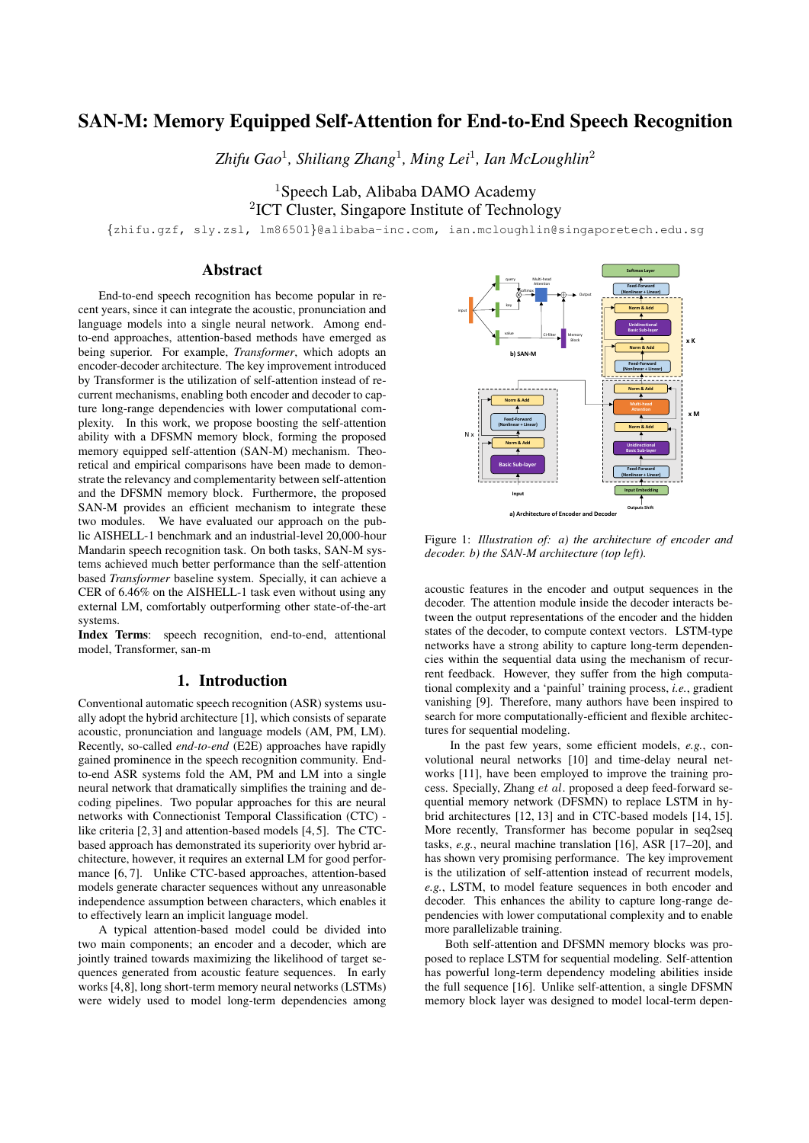# SAN-M: Memory Equipped Self-Attention for End-to-End Speech Recognition

*Zhifu Gao*<sup>1</sup> *, Shiliang Zhang*<sup>1</sup> *, Ming Lei*<sup>1</sup> *, Ian McLoughlin*<sup>2</sup>

<sup>1</sup>Speech Lab, Alibaba DAMO Academy <sup>2</sup>ICT Cluster, Singapore Institute of Technology

{zhifu.gzf, sly.zsl, lm86501}@alibaba-inc.com, ian.mcloughlin@singaporetech.edu.sg

# Abstract

End-to-end speech recognition has become popular in recent years, since it can integrate the acoustic, pronunciation and language models into a single neural network. Among endto-end approaches, attention-based methods have emerged as being superior. For example, *Transformer*, which adopts an encoder-decoder architecture. The key improvement introduced by Transformer is the utilization of self-attention instead of recurrent mechanisms, enabling both encoder and decoder to capture long-range dependencies with lower computational complexity. In this work, we propose boosting the self-attention ability with a DFSMN memory block, forming the proposed memory equipped self-attention (SAN-M) mechanism. Theoretical and empirical comparisons have been made to demonstrate the relevancy and complementarity between self-attention and the DFSMN memory block. Furthermore, the proposed SAN-M provides an efficient mechanism to integrate these two modules. We have evaluated our approach on the public AISHELL-1 benchmark and an industrial-level 20,000-hour Mandarin speech recognition task. On both tasks, SAN-M systems achieved much better performance than the self-attention based *Transformer* baseline system. Specially, it can achieve a CER of 6.46% on the AISHELL-1 task even without using any external LM, comfortably outperforming other state-of-the-art systems.

Index Terms: speech recognition, end-to-end, attentional model, Transformer, san-m

# 1. Introduction

Conventional automatic speech recognition (ASR) systems usually adopt the hybrid architecture [1], which consists of separate acoustic, pronunciation and language models (AM, PM, LM). Recently, so-called *end-to-end* (E2E) approaches have rapidly gained prominence in the speech recognition community. Endto-end ASR systems fold the AM, PM and LM into a single neural network that dramatically simplifies the training and decoding pipelines. Two popular approaches for this are neural networks with Connectionist Temporal Classification (CTC) like criteria [2, 3] and attention-based models [4, 5]. The CTCbased approach has demonstrated its superiority over hybrid architecture, however, it requires an external LM for good performance [6, 7]. Unlike CTC-based approaches, attention-based models generate character sequences without any unreasonable independence assumption between characters, which enables it to effectively learn an implicit language model.

A typical attention-based model could be divided into two main components; an encoder and a decoder, which are jointly trained towards maximizing the likelihood of target sequences generated from acoustic feature sequences. In early works [4,8], long short-term memory neural networks (LSTMs) were widely used to model long-term dependencies among



Figure 1: *Illustration of: a) the architecture of encoder and decoder. b) the SAN-M architecture (top left).*

acoustic features in the encoder and output sequences in the decoder. The attention module inside the decoder interacts between the output representations of the encoder and the hidden states of the decoder, to compute context vectors. LSTM-type networks have a strong ability to capture long-term dependencies within the sequential data using the mechanism of recurrent feedback. However, they suffer from the high computational complexity and a 'painful' training process, *i.e.*, gradient vanishing [9]. Therefore, many authors have been inspired to search for more computationally-efficient and flexible architectures for sequential modeling.

In the past few years, some efficient models, *e.g.*, convolutional neural networks [10] and time-delay neural networks [11], have been employed to improve the training process. Specially, Zhang et al. proposed a deep feed-forward sequential memory network (DFSMN) to replace LSTM in hybrid architectures [12, 13] and in CTC-based models [14, 15]. More recently, Transformer has become popular in seq2seq tasks, *e.g.*, neural machine translation [16], ASR [17–20], and has shown very promising performance. The key improvement is the utilization of self-attention instead of recurrent models, *e.g.*, LSTM, to model feature sequences in both encoder and decoder. This enhances the ability to capture long-range dependencies with lower computational complexity and to enable more parallelizable training.

Both self-attention and DFSMN memory blocks was proposed to replace LSTM for sequential modeling. Self-attention has powerful long-term dependency modeling abilities inside the full sequence [16]. Unlike self-attention, a single DFSMN memory block layer was designed to model local-term depen-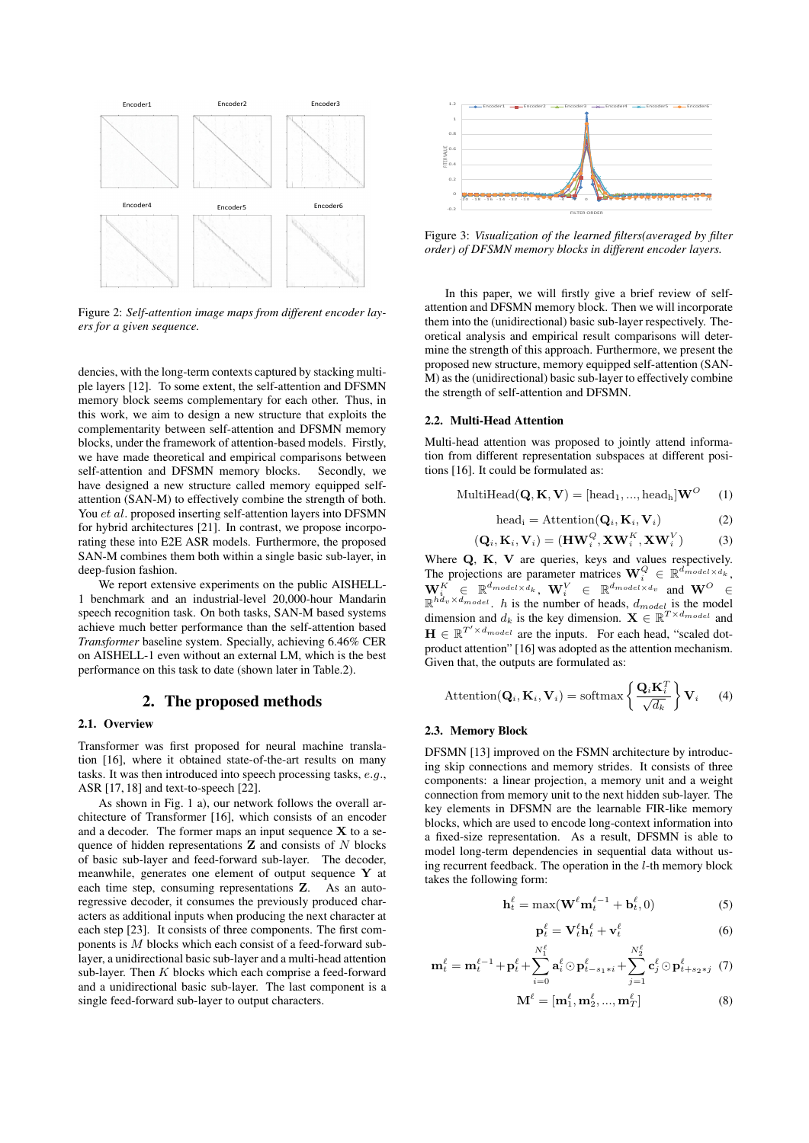

Figure 2: *Self-attention image maps from different encoder layers for a given sequence.*

dencies, with the long-term contexts captured by stacking multiple layers [12]. To some extent, the self-attention and DFSMN memory block seems complementary for each other. Thus, in this work, we aim to design a new structure that exploits the complementarity between self-attention and DFSMN memory blocks, under the framework of attention-based models. Firstly, we have made theoretical and empirical comparisons between self-attention and DFSMN memory blocks. Secondly, we have designed a new structure called memory equipped selfattention (SAN-M) to effectively combine the strength of both. You *et al.* proposed inserting self-attention layers into DFSMN for hybrid architectures [21]. In contrast, we propose incorporating these into E2E ASR models. Furthermore, the proposed SAN-M combines them both within a single basic sub-layer, in deep-fusion fashion.

We report extensive experiments on the public AISHELL-1 benchmark and an industrial-level 20,000-hour Mandarin speech recognition task. On both tasks, SAN-M based systems achieve much better performance than the self-attention based *Transformer* baseline system. Specially, achieving 6.46% CER on AISHELL-1 even without an external LM, which is the best performance on this task to date (shown later in Table.2).

# 2. The proposed methods

### 2.1. Overview

Transformer was first proposed for neural machine translation [16], where it obtained state-of-the-art results on many tasks. It was then introduced into speech processing tasks, e.g., ASR [17, 18] and text-to-speech [22].

As shown in Fig. 1 a), our network follows the overall architecture of Transformer [16], which consists of an encoder and a decoder. The former maps an input sequence  $X$  to a sequence of hidden representations  $Z$  and consists of  $N$  blocks of basic sub-layer and feed-forward sub-layer. The decoder, meanwhile, generates one element of output sequence Y at each time step, consuming representations Z. As an autoregressive decoder, it consumes the previously produced characters as additional inputs when producing the next character at each step [23]. It consists of three components. The first components is M blocks which each consist of a feed-forward sublayer, a unidirectional basic sub-layer and a multi-head attention sub-layer. Then  $K$  blocks which each comprise a feed-forward and a unidirectional basic sub-layer. The last component is a single feed-forward sub-layer to output characters.



Figure 3: *Visualization of the learned filters(averaged by filter order) of DFSMN memory blocks in different encoder layers.*

In this paper, we will firstly give a brief review of selfattention and DFSMN memory block. Then we will incorporate them into the (unidirectional) basic sub-layer respectively. Theoretical analysis and empirical result comparisons will determine the strength of this approach. Furthermore, we present the proposed new structure, memory equipped self-attention (SAN-M) as the (unidirectional) basic sub-layer to effectively combine the strength of self-attention and DFSMN.

#### 2.2. Multi-Head Attention

Multi-head attention was proposed to jointly attend information from different representation subspaces at different positions [16]. It could be formulated as:

$$
\text{MultiHead}(\mathbf{Q}, \mathbf{K}, \mathbf{V}) = [\text{head}_1, ..., \text{head}_h] \mathbf{W}^O \quad (1)
$$

head<sub>i</sub> = Attention( $\mathbf{Q}_i, \mathbf{K}_i, \mathbf{V}_i$ ) (2)

$$
(\mathbf{Q}_i, \mathbf{K}_i, \mathbf{V}_i) = (\mathbf{H}\mathbf{W}_i^Q, \mathbf{X}\mathbf{W}_i^K, \mathbf{X}\mathbf{W}_i^V) \tag{3}
$$

Where Q, K, V are queries, keys and values respectively. The projections are parameter matrices  $\mathbf{W}_i^Q \in \mathbb{R}^{d_{model} \times d_k}$ ,  $\mathbf{W}_i^K \; \in \; \mathbb{R}^{d_{model} \times d_k}, \; \mathbf{W}_i^V \; \; \in \; \mathbb{R}^{d_{model} \times d_v} \; \; \text{and} \; \mathbf{W}^O \; \; \in$  $\mathbb{R}^{h\bar{d}_{v} \times d_{model}}$ . *h* is the number of heads,  $d_{model}$  is the model dimension and  $d_k$  is the key dimension.  $\mathbf{X} \in \mathbb{R}^{T \times d_{model}}$  and  $\mathbf{H} \in \mathbb{R}^{T' \times d_{model}}$  are the inputs. For each head, "scaled dotproduct attention" [16] was adopted as the attention mechanism. Given that, the outputs are formulated as:

Attention(
$$
\mathbf{Q}_i, \mathbf{K}_i, \mathbf{V}_i
$$
) = softmax $\left\{ \frac{\mathbf{Q}_i \mathbf{K}_i^T}{\sqrt{d_k}} \right\} \mathbf{V}_i$  (4)

### 2.3. Memory Block

DFSMN [13] improved on the FSMN architecture by introducing skip connections and memory strides. It consists of three components: a linear projection, a memory unit and a weight connection from memory unit to the next hidden sub-layer. The key elements in DFSMN are the learnable FIR-like memory blocks, which are used to encode long-context information into a fixed-size representation. As a result, DFSMN is able to model long-term dependencies in sequential data without using recurrent feedback. The operation in the  $l$ -th memory block takes the following form:

$$
\mathbf{h}_t^{\ell} = \max(\mathbf{W}^{\ell} \mathbf{m}_t^{\ell-1} + \mathbf{b}_t^{\ell}, 0) \tag{5}
$$

$$
\mathbf{p}_t^{\ell} = \mathbf{V}_t^{\ell} \mathbf{h}_t^{\ell} + \mathbf{v}_t^{\ell} \tag{6}
$$

$$
\mathbf{m}_{t}^{\ell} = \mathbf{m}_{t}^{\ell-1} + \mathbf{p}_{t}^{\ell} + \sum_{i=0}^{N_{1}^{\ell}} \mathbf{a}_{i}^{\ell} \odot \mathbf{p}_{t-s_{1}+i}^{\ell} + \sum_{j=1}^{N_{2}^{\ell}} \mathbf{c}_{j}^{\ell} \odot \mathbf{p}_{t+s_{2}+j}^{\ell} (7)
$$

$$
\mathbf{M}^{\ell} = [\mathbf{m}_1^{\ell}, \mathbf{m}_2^{\ell}, ..., \mathbf{m}_T^{\ell}] \tag{8}
$$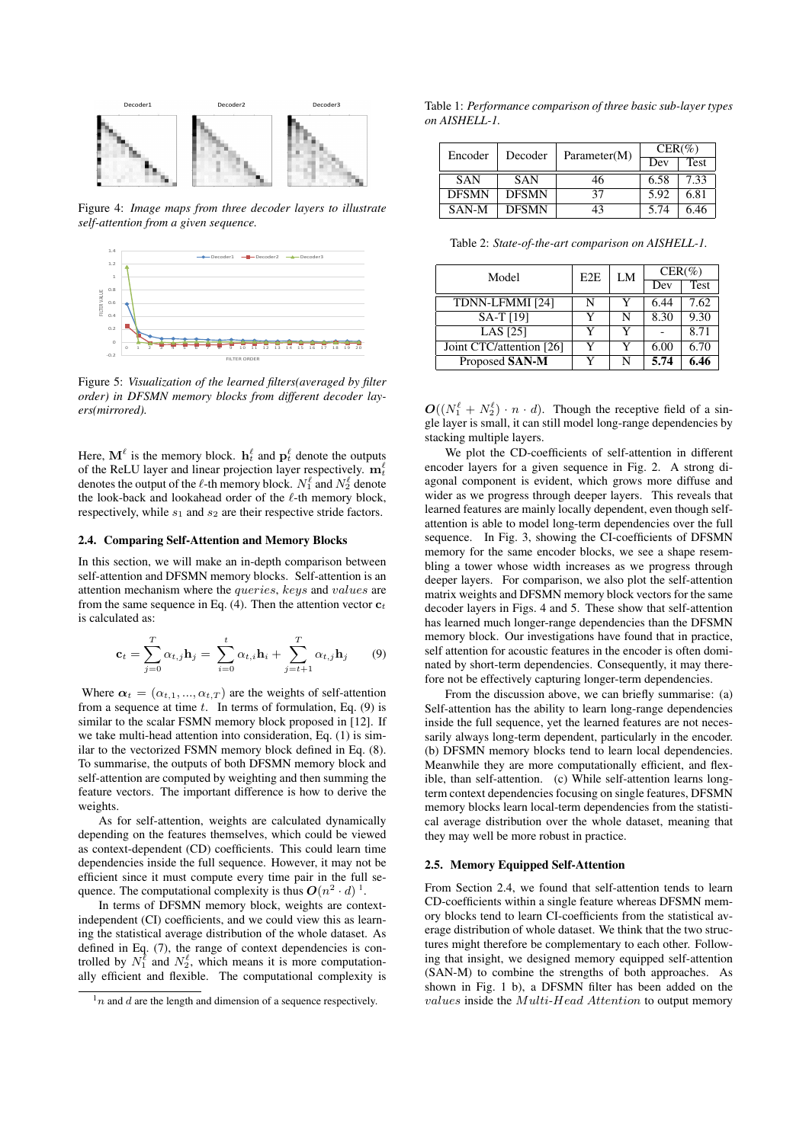

Figure 4: *Image maps from three decoder layers to illustrate self-attention from a given sequence.*



Figure 5: *Visualization of the learned filters(averaged by filter order) in DFSMN memory blocks from different decoder layers(mirrored).*

Here,  $\mathbf{M}^{\ell}$  is the memory block.  $\mathbf{h}^{\ell}_t$  and  $\mathbf{p}^{\ell}_t$  denote the outputs of the ReLU layer and linear projection layer respectively.  $\mathbf{m}_t^{\ell}$ denotes the output of the  $\ell$ -th memory block.  $N_1^{\ell}$  and  $N_2^{\ell}$  denote the look-back and lookahead order of the  $\ell$ -th memory block, respectively, while  $s_1$  and  $s_2$  are their respective stride factors.

## 2.4. Comparing Self-Attention and Memory Blocks

In this section, we will make an in-depth comparison between self-attention and DFSMN memory blocks. Self-attention is an attention mechanism where the queries, keys and values are from the same sequence in Eq. (4). Then the attention vector  $c_t$ is calculated as:

$$
\mathbf{c}_t = \sum_{j=0}^T \alpha_{t,j} \mathbf{h}_j = \sum_{i=0}^t \alpha_{t,i} \mathbf{h}_i + \sum_{j=t+1}^T \alpha_{t,j} \mathbf{h}_j
$$
(9)

Where  $\alpha_t = (\alpha_{t,1}, ..., \alpha_{t,T})$  are the weights of self-attention from a sequence at time  $t$ . In terms of formulation, Eq. (9) is similar to the scalar FSMN memory block proposed in [12]. If we take multi-head attention into consideration, Eq. (1) is similar to the vectorized FSMN memory block defined in Eq. (8). To summarise, the outputs of both DFSMN memory block and self-attention are computed by weighting and then summing the feature vectors. The important difference is how to derive the weights.

As for self-attention, weights are calculated dynamically depending on the features themselves, which could be viewed as context-dependent (CD) coefficients. This could learn time dependencies inside the full sequence. However, it may not be efficient since it must compute every time pair in the full sequence. The computational complexity is thus  $O(n^2 \cdot d)^{-1}$ .

In terms of DFSMN memory block, weights are contextindependent (CI) coefficients, and we could view this as learning the statistical average distribution of the whole dataset. As defined in Eq. (7), the range of context dependencies is controlled by  $N_1^{\ell}$  and  $N_2^{\ell}$ , which means it is more computationally efficient and flexible. The computational complexity is

Table 1: *Performance comparison of three basic sub-layer types on AISHELL-1.*

| Encoder      | Decoder      | Parameter(M) | $CER(\%)$ |             |
|--------------|--------------|--------------|-----------|-------------|
|              |              |              | Dev       | <b>Test</b> |
| <b>SAN</b>   | <b>SAN</b>   | 46           | 6.58      | 7.33        |
| <b>DFSMN</b> | <b>DFSMN</b> | 37           | 5.92      | 6.81        |
| SAN-M        | <b>DFSMN</b> | 43           | 5.74      | 6.46        |

Table 2: *State-of-the-art comparison on AISHELL-1.*

| Model                    | E2E | LM | $CER(\%)$ |      |
|--------------------------|-----|----|-----------|------|
|                          |     |    | Dev       | Test |
| TDNN-LFMMI [24]          | N   | v  | 6.44      | 7.62 |
| SA-T [19]                |     | N  | 8.30      | 9.30 |
| LAS [25]                 |     | Y  |           | 8.71 |
| Joint CTC/attention [26] | v   | Y  | 6.00      | 6.70 |
| Proposed SAN-M           |     | N  | 5.74      | 6.46 |

 $\mathbf{O}((N_1^{\ell} + N_2^{\ell}) \cdot n \cdot d)$ . Though the receptive field of a single layer is small, it can still model long-range dependencies by stacking multiple layers.

We plot the CD-coefficients of self-attention in different encoder layers for a given sequence in Fig. 2. A strong diagonal component is evident, which grows more diffuse and wider as we progress through deeper layers. This reveals that learned features are mainly locally dependent, even though selfattention is able to model long-term dependencies over the full sequence. In Fig. 3, showing the CI-coefficients of DFSMN memory for the same encoder blocks, we see a shape resembling a tower whose width increases as we progress through deeper layers. For comparison, we also plot the self-attention matrix weights and DFSMN memory block vectors for the same decoder layers in Figs. 4 and 5. These show that self-attention has learned much longer-range dependencies than the DFSMN memory block. Our investigations have found that in practice, self attention for acoustic features in the encoder is often dominated by short-term dependencies. Consequently, it may therefore not be effectively capturing longer-term dependencies.

From the discussion above, we can briefly summarise: (a) Self-attention has the ability to learn long-range dependencies inside the full sequence, yet the learned features are not necessarily always long-term dependent, particularly in the encoder. (b) DFSMN memory blocks tend to learn local dependencies. Meanwhile they are more computationally efficient, and flexible, than self-attention. (c) While self-attention learns longterm context dependencies focusing on single features, DFSMN memory blocks learn local-term dependencies from the statistical average distribution over the whole dataset, meaning that they may well be more robust in practice.

#### 2.5. Memory Equipped Self-Attention

From Section 2.4, we found that self-attention tends to learn CD-coefficients within a single feature whereas DFSMN memory blocks tend to learn CI-coefficients from the statistical average distribution of whole dataset. We think that the two structures might therefore be complementary to each other. Following that insight, we designed memory equipped self-attention (SAN-M) to combine the strengths of both approaches. As shown in Fig. 1 b), a DFSMN filter has been added on the values inside the Multi-Head Attention to output memory

 $\frac{1}{n}$  and d are the length and dimension of a sequence respectively.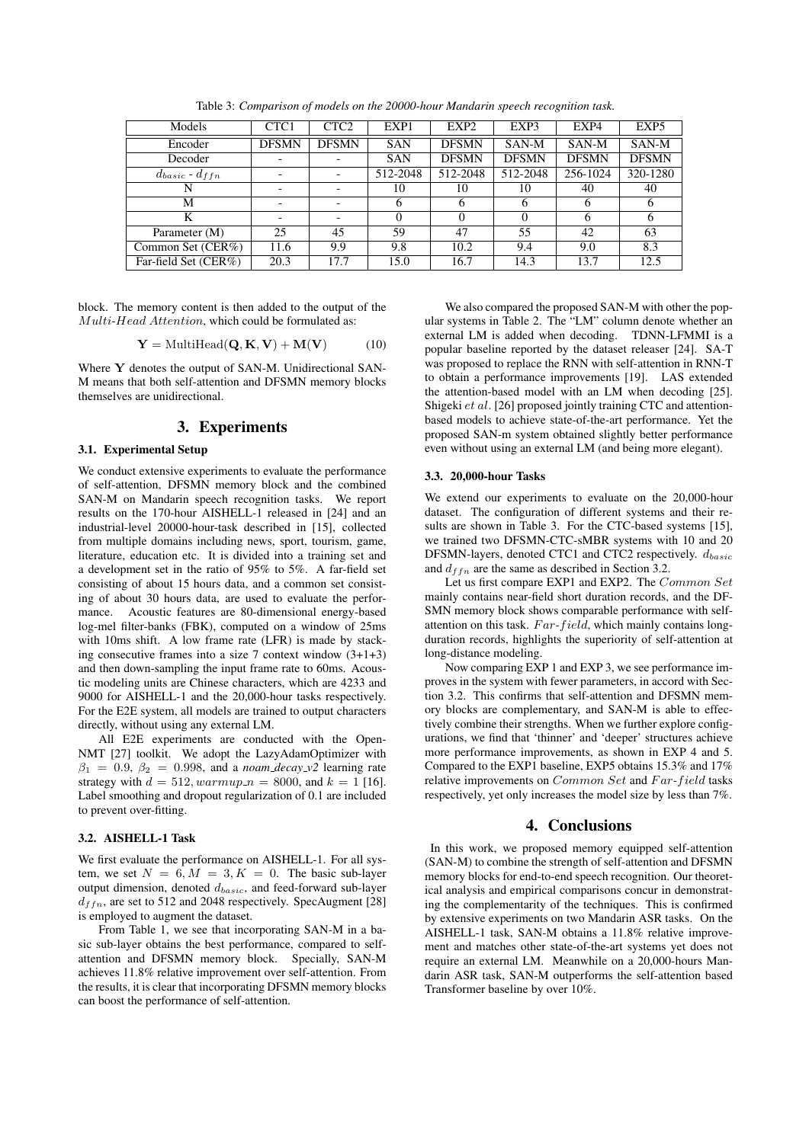| Models                  | CTC1         | CTC <sub>2</sub>         | EXP1       | EXP <sub>2</sub> | EXP3         | EXP4         | EXP <sub>5</sub> |
|-------------------------|--------------|--------------------------|------------|------------------|--------------|--------------|------------------|
| Encoder                 | <b>DFSMN</b> | <b>DFSMN</b>             | <b>SAN</b> | <b>DFSMN</b>     | SAN-M        | SAN-M        | SAN-M            |
| Decoder                 |              |                          | <b>SAN</b> | <b>DFSMN</b>     | <b>DFSMN</b> | <b>DFSMN</b> | <b>DFSMN</b>     |
| $d_{basic}$ - $d_{ffn}$ |              |                          | 512-2048   | 512-2048         | 512-2048     | 256-1024     | 320-1280         |
| N                       |              |                          | 10         | 10               | 10           | 40           | 40               |
| М                       |              | $\overline{\phantom{a}}$ | 6          | 6                | 6            | 6            | <sub>0</sub>     |
| K                       |              | $\overline{\phantom{a}}$ | 0          |                  | $\theta$     | 6            |                  |
| Parameter (M)           | 25           | 45                       | 59         | 47               | 55           | 42           | 63               |
| Common Set (CER%)       | 11.6         | 9.9                      | 9.8        | 10.2             | 9.4          | 9.0          | 8.3              |
| Far-field Set (CER%)    | 20.3         | 17.7                     | 15.0       | 16.7             | 14.3         | 13.7         | 12.5             |

Table 3: *Comparison of models on the 20000-hour Mandarin speech recognition task.*

block. The memory content is then added to the output of the Multi-Head Attention, which could be formulated as:

$$
\mathbf{Y} = \text{MultiHead}(\mathbf{Q}, \mathbf{K}, \mathbf{V}) + \mathbf{M}(\mathbf{V}) \tag{10}
$$

Where Y denotes the output of SAN-M. Unidirectional SAN-M means that both self-attention and DFSMN memory blocks themselves are unidirectional.

# 3. Experiments

## 3.1. Experimental Setup

We conduct extensive experiments to evaluate the performance of self-attention, DFSMN memory block and the combined SAN-M on Mandarin speech recognition tasks. We report results on the 170-hour AISHELL-1 released in [24] and an industrial-level 20000-hour-task described in [15], collected from multiple domains including news, sport, tourism, game, literature, education etc. It is divided into a training set and a development set in the ratio of 95% to 5%. A far-field set consisting of about 15 hours data, and a common set consisting of about 30 hours data, are used to evaluate the performance. Acoustic features are 80-dimensional energy-based log-mel filter-banks (FBK), computed on a window of 25ms with 10ms shift. A low frame rate (LFR) is made by stacking consecutive frames into a size 7 context window (3+1+3) and then down-sampling the input frame rate to 60ms. Acoustic modeling units are Chinese characters, which are 4233 and 9000 for AISHELL-1 and the 20,000-hour tasks respectively. For the E2E system, all models are trained to output characters directly, without using any external LM.

All E2E experiments are conducted with the Open-NMT [27] toolkit. We adopt the LazyAdamOptimizer with  $\beta_1 = 0.9, \beta_2 = 0.998,$  and a *noam\_decay\_v2* learning rate strategy with  $d = 512$ ,  $warmup_n = 8000$ , and  $k = 1$  [16]. Label smoothing and dropout regularization of 0.1 are included to prevent over-fitting.

### 3.2. AISHELL-1 Task

We first evaluate the performance on AISHELL-1. For all system, we set  $N = 6, M = 3, K = 0$ . The basic sub-layer output dimension, denoted  $d_{basic}$ , and feed-forward sub-layer  $d_{ffn}$ , are set to 512 and 2048 respectively. SpecAugment [28] is employed to augment the dataset.

From Table 1, we see that incorporating SAN-M in a basic sub-layer obtains the best performance, compared to selfattention and DFSMN memory block. Specially, SAN-M achieves 11.8% relative improvement over self-attention. From the results, it is clear that incorporating DFSMN memory blocks can boost the performance of self-attention.

We also compared the proposed SAN-M with other the popular systems in Table 2. The "LM" column denote whether an external LM is added when decoding. TDNN-LFMMI is a popular baseline reported by the dataset releaser [24]. SA-T was proposed to replace the RNN with self-attention in RNN-T to obtain a performance improvements [19]. LAS extended the attention-based model with an LM when decoding [25]. Shigeki et al. [26] proposed jointly training CTC and attentionbased models to achieve state-of-the-art performance. Yet the proposed SAN-m system obtained slightly better performance even without using an external LM (and being more elegant).

#### 3.3. 20,000-hour Tasks

We extend our experiments to evaluate on the 20,000-hour dataset. The configuration of different systems and their results are shown in Table 3. For the CTC-based systems [15], we trained two DFSMN-CTC-sMBR systems with 10 and 20 DFSMN-layers, denoted CTC1 and CTC2 respectively.  $d_{basic}$ and  $d_{ffn}$  are the same as described in Section 3.2.

Let us first compare EXP1 and EXP2. The Common Set mainly contains near-field short duration records, and the DF-SMN memory block shows comparable performance with selfattention on this task.  $Far-field$ , which mainly contains longduration records, highlights the superiority of self-attention at long-distance modeling.

Now comparing EXP 1 and EXP 3, we see performance improves in the system with fewer parameters, in accord with Section 3.2. This confirms that self-attention and DFSMN memory blocks are complementary, and SAN-M is able to effectively combine their strengths. When we further explore configurations, we find that 'thinner' and 'deeper' structures achieve more performance improvements, as shown in EXP 4 and 5. Compared to the EXP1 baseline, EXP5 obtains 15.3% and 17% relative improvements on Common Set and Far-field tasks respectively, yet only increases the model size by less than 7%.

### 4. Conclusions

In this work, we proposed memory equipped self-attention (SAN-M) to combine the strength of self-attention and DFSMN memory blocks for end-to-end speech recognition. Our theoretical analysis and empirical comparisons concur in demonstrating the complementarity of the techniques. This is confirmed by extensive experiments on two Mandarin ASR tasks. On the AISHELL-1 task, SAN-M obtains a 11.8% relative improvement and matches other state-of-the-art systems yet does not require an external LM. Meanwhile on a 20,000-hours Mandarin ASR task, SAN-M outperforms the self-attention based Transformer baseline by over 10%.